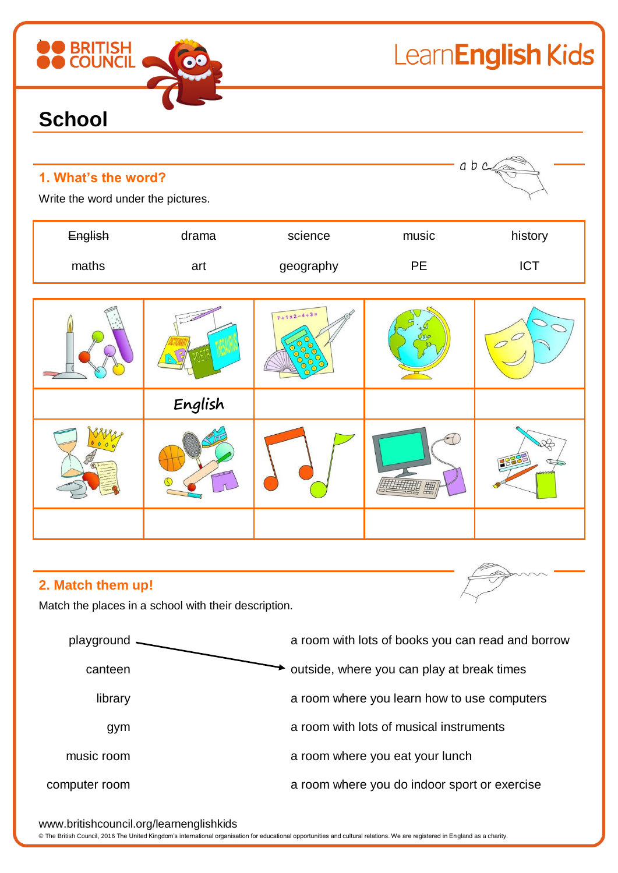| <b>BRITISH</b>                                            |         |                            | LearnEnglish Kids |                |  |
|-----------------------------------------------------------|---------|----------------------------|-------------------|----------------|--|
| <b>School</b>                                             |         |                            |                   |                |  |
| 1. What's the word?<br>Write the word under the pictures. |         |                            |                   | a b c          |  |
| English                                                   | drama   | science                    | music             | history        |  |
| maths                                                     | art     | geography                  | <b>PE</b>         | <b>ICT</b>     |  |
|                                                           |         | $7 + 1 \times 2 - 4 + 3 =$ |                   | $\overline{C}$ |  |
|                                                           | English |                            |                   |                |  |
| $\cup$                                                    |         |                            | 囲                 |                |  |
|                                                           |         |                            |                   |                |  |
| 2. Match them up!                                         |         |                            |                   |                |  |

Match the places in a school with their description.



www.britishcouncil.org/learnenglishkids

© The British Council, 2016 The United Kingdom's international organisation for educational opportunities and cultural relations. We are registered in England as a charity.